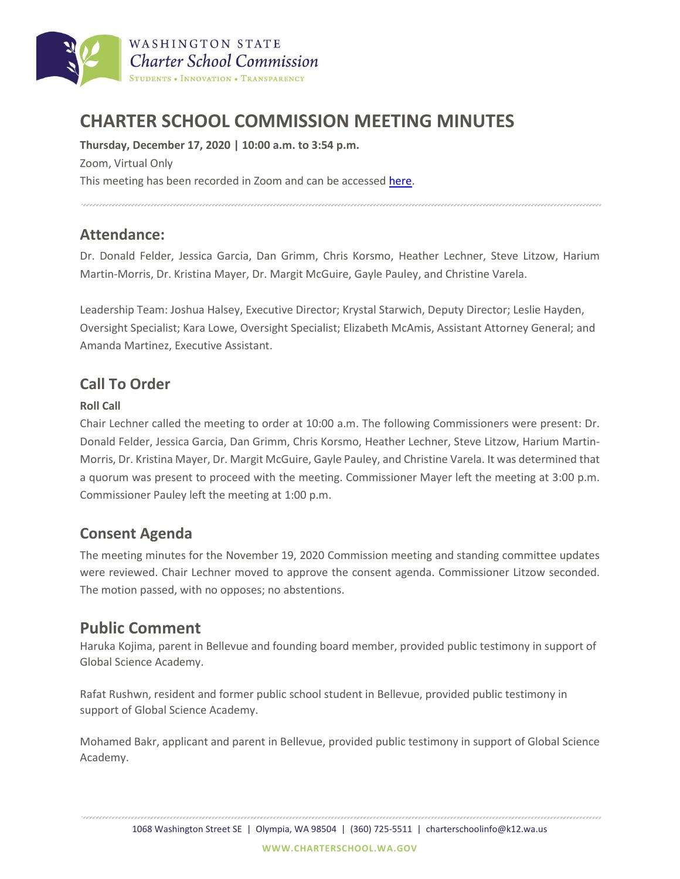

# **CHARTER SCHOOL COMMISSION MEETING MINUTES**

**Thursday, December 17, 2020 | 10:00 a.m. to 3:54 p.m.** Zoom, Virtual Only This meeting has been recorded in Zoom and can be accessed [here.](https://charterschool.box.com/s/qd0kw2xwa59lbgsbc6onkb8aeiyqclwh)

### **Attendance:**

Dr. Donald Felder, Jessica Garcia, Dan Grimm, Chris Korsmo, Heather Lechner, Steve Litzow, Harium Martin-Morris, Dr. Kristina Mayer, Dr. Margit McGuire, Gayle Pauley, and Christine Varela.

Leadership Team: Joshua Halsey, Executive Director; Krystal Starwich, Deputy Director; Leslie Hayden, Oversight Specialist; Kara Lowe, Oversight Specialist; Elizabeth McAmis, Assistant Attorney General; and Amanda Martinez, Executive Assistant.

# **Call To Order**

#### **Roll Call**

Chair Lechner called the meeting to order at 10:00 a.m. The following Commissioners were present: Dr. Donald Felder, Jessica Garcia, Dan Grimm, Chris Korsmo, Heather Lechner, Steve Litzow, Harium Martin-Morris, Dr. Kristina Mayer, Dr. Margit McGuire, Gayle Pauley, and Christine Varela. It was determined that a quorum was present to proceed with the meeting. Commissioner Mayer left the meeting at 3:00 p.m. Commissioner Pauley left the meeting at 1:00 p.m.

## **Consent Agenda**

The meeting minutes for the November 19, 2020 Commission meeting and standing committee updates were reviewed. Chair Lechner moved to approve the consent agenda. Commissioner Litzow seconded. The motion passed, with no opposes; no abstentions.

# **Public Comment**

Haruka Kojima, parent in Bellevue and founding board member, provided public testimony in support of Global Science Academy.

Rafat Rushwn, resident and former public school student in Bellevue, provided public testimony in support of Global Science Academy.

Mohamed Bakr, applicant and parent in Bellevue, provided public testimony in support of Global Science Academy.

1068 Washington Street SE | Olympia, WA 98504 | (360) 725-5511 | charterschoolinfo@k12.wa.us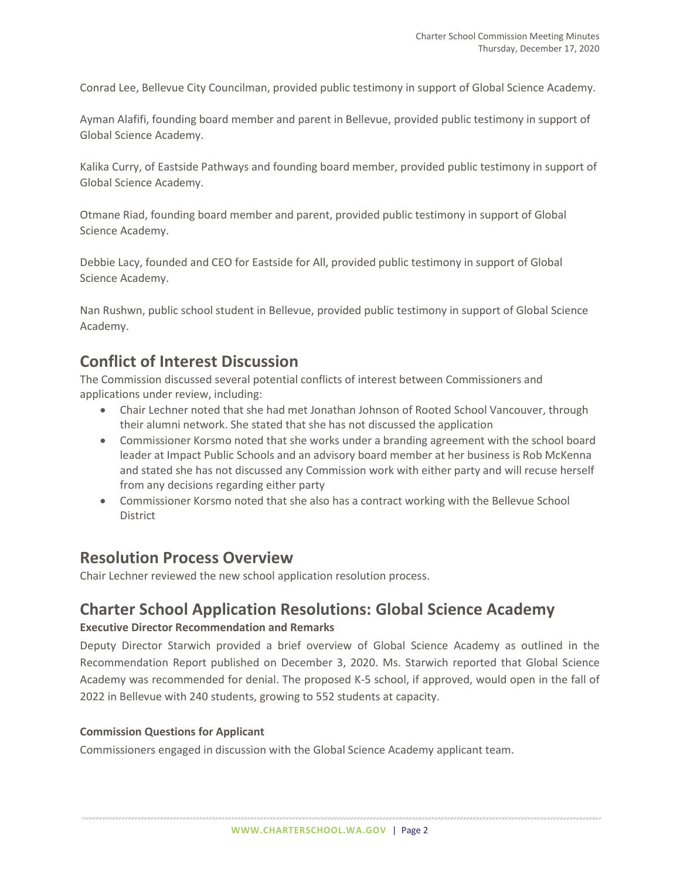Conrad Lee, Bellevue City Councilman, provided public testimony in support of Global Science Academy.

Ayman Alafifi, founding board member and parent in Bellevue, provided public testimony in support of Global Science Academy.

Kalika Curry, of Eastside Pathways and founding board member, provided public testimony in support of Global Science Academy.

Otmane Riad, founding board member and parent, provided public testimony in support of Global Science Academy.

Debbie Lacy, founded and CEO for Eastside for All, provided public testimony in support of Global Science Academy.

Nan Rushwn, public school student in Bellevue, provided public testimony in support of Global Science Academy.

# **Conflict of Interest Discussion**

The Commission discussed several potential conflicts of interest between Commissioners and applications under review, including:

- Chair Lechner noted that she had met Jonathan Johnson of Rooted School Vancouver, through their alumni network. She stated that she has not discussed the application
- Commissioner Korsmo noted that she works under a branding agreement with the school board leader at Impact Public Schools and an advisory board member at her business is Rob McKenna and stated she has not discussed any Commission work with either party and will recuse herself from any decisions regarding either party
- Commissioner Korsmo noted that she also has a contract working with the Bellevue School District

## **Resolution Process Overview**

Chair Lechner reviewed the new school application resolution process.

### **Charter School Application Resolutions: Global Science Academy Executive Director Recommendation and Remarks**

Deputy Director Starwich provided a brief overview of Global Science Academy as outlined in the Recommendation Report published on December 3, 2020. Ms. Starwich reported that Global Science Academy was recommended for denial. The proposed K-5 school, if approved, would open in the fall of 2022 in Bellevue with 240 students, growing to 552 students at capacity.

#### **Commission Questions for Applicant**

Commissioners engaged in discussion with the Global Science Academy applicant team.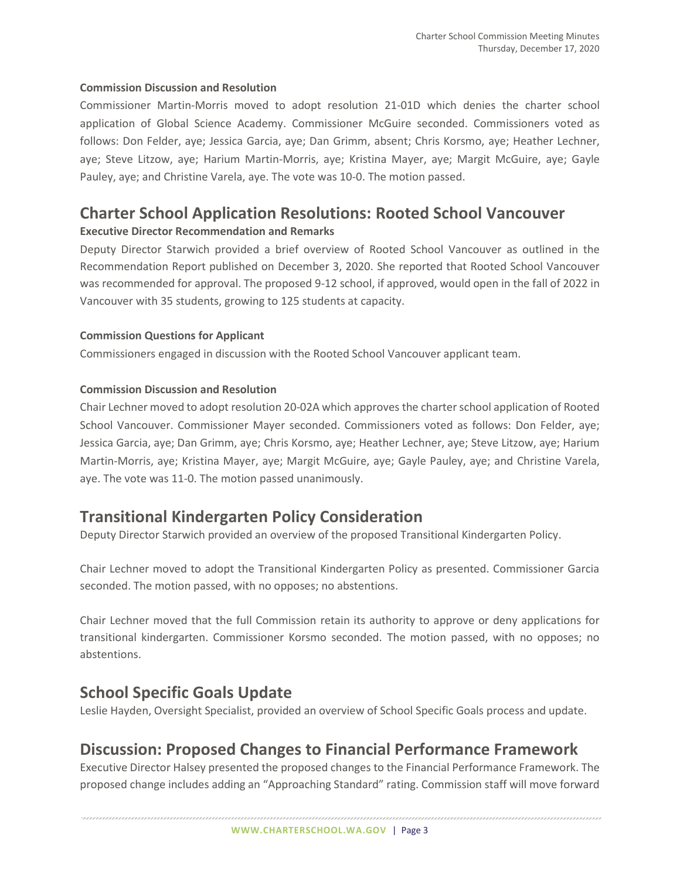#### **Commission Discussion and Resolution**

Commissioner Martin-Morris moved to adopt resolution 21-01D which denies the charter school application of Global Science Academy. Commissioner McGuire seconded. Commissioners voted as follows: Don Felder, aye; Jessica Garcia, aye; Dan Grimm, absent; Chris Korsmo, aye; Heather Lechner, aye; Steve Litzow, aye; Harium Martin-Morris, aye; Kristina Mayer, aye; Margit McGuire, aye; Gayle Pauley, aye; and Christine Varela, aye. The vote was 10-0. The motion passed.

# **Charter School Application Resolutions: Rooted School Vancouver**

#### **Executive Director Recommendation and Remarks**

Deputy Director Starwich provided a brief overview of Rooted School Vancouver as outlined in the Recommendation Report published on December 3, 2020. She reported that Rooted School Vancouver was recommended for approval. The proposed 9-12 school, if approved, would open in the fall of 2022 in Vancouver with 35 students, growing to 125 students at capacity.

#### **Commission Questions for Applicant**

Commissioners engaged in discussion with the Rooted School Vancouver applicant team.

#### **Commission Discussion and Resolution**

Chair Lechner moved to adopt resolution 20-02A which approves the charter school application of Rooted School Vancouver. Commissioner Mayer seconded. Commissioners voted as follows: Don Felder, aye; Jessica Garcia, aye; Dan Grimm, aye; Chris Korsmo, aye; Heather Lechner, aye; Steve Litzow, aye; Harium Martin-Morris, aye; Kristina Mayer, aye; Margit McGuire, aye; Gayle Pauley, aye; and Christine Varela, aye. The vote was 11-0. The motion passed unanimously.

## **Transitional Kindergarten Policy Consideration**

Deputy Director Starwich provided an overview of the proposed Transitional Kindergarten Policy.

Chair Lechner moved to adopt the Transitional Kindergarten Policy as presented. Commissioner Garcia seconded. The motion passed, with no opposes; no abstentions.

Chair Lechner moved that the full Commission retain its authority to approve or deny applications for transitional kindergarten. Commissioner Korsmo seconded. The motion passed, with no opposes; no abstentions.

### **School Specific Goals Update**

Leslie Hayden, Oversight Specialist, provided an overview of School Specific Goals process and update.

# **Discussion: Proposed Changes to Financial Performance Framework**

Executive Director Halsey presented the proposed changes to the Financial Performance Framework. The proposed change includes adding an "Approaching Standard" rating. Commission staff will move forward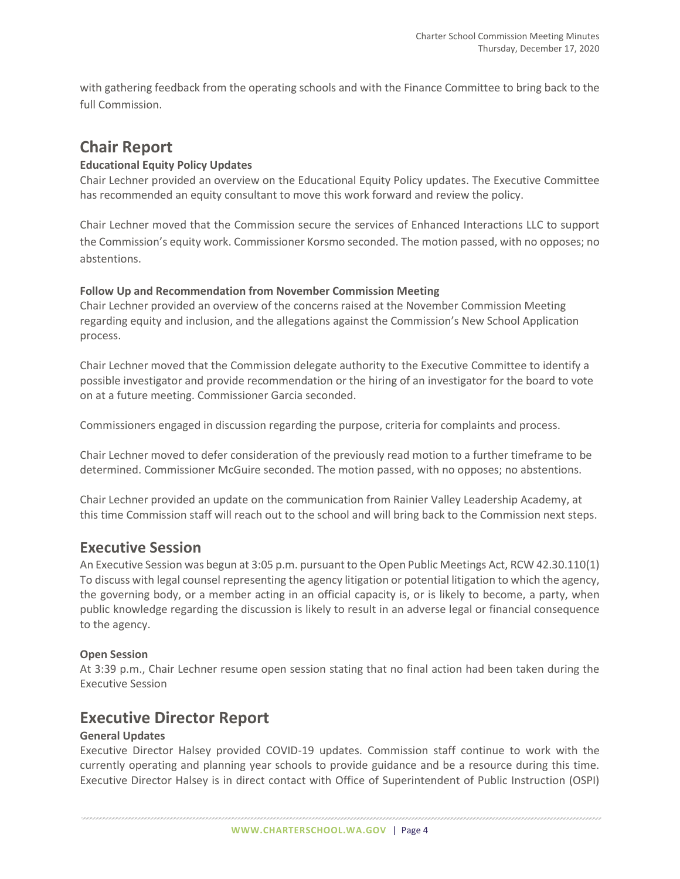with gathering feedback from the operating schools and with the Finance Committee to bring back to the full Commission.

## **Chair Report**

#### **Educational Equity Policy Updates**

Chair Lechner provided an overview on the Educational Equity Policy updates. The Executive Committee has recommended an equity consultant to move this work forward and review the policy.

Chair Lechner moved that the Commission secure the services of Enhanced Interactions LLC to support the Commission's equity work. Commissioner Korsmo seconded. The motion passed, with no opposes; no abstentions.

#### **Follow Up and Recommendation from November Commission Meeting**

Chair Lechner provided an overview of the concerns raised at the November Commission Meeting regarding equity and inclusion, and the allegations against the Commission's New School Application process.

Chair Lechner moved that the Commission delegate authority to the Executive Committee to identify a possible investigator and provide recommendation or the hiring of an investigator for the board to vote on at a future meeting. Commissioner Garcia seconded.

Commissioners engaged in discussion regarding the purpose, criteria for complaints and process.

Chair Lechner moved to defer consideration of the previously read motion to a further timeframe to be determined. Commissioner McGuire seconded. The motion passed, with no opposes; no abstentions.

Chair Lechner provided an update on the communication from Rainier Valley Leadership Academy, at this time Commission staff will reach out to the school and will bring back to the Commission next steps.

### **Executive Session**

An Executive Session was begun at 3:05 p.m. pursuant to the Open Public Meetings Act, RCW 42.30.110(1) To discuss with legal counsel representing the agency litigation or potential litigation to which the agency, the governing body, or a member acting in an official capacity is, or is likely to become, a party, when public knowledge regarding the discussion is likely to result in an adverse legal or financial consequence to the agency.

#### **Open Session**

At 3:39 p.m., Chair Lechner resume open session stating that no final action had been taken during the Executive Session

### **Executive Director Report**

#### **General Updates**

Executive Director Halsey provided COVID-19 updates. Commission staff continue to work with the currently operating and planning year schools to provide guidance and be a resource during this time. Executive Director Halsey is in direct contact with Office of Superintendent of Public Instruction (OSPI)